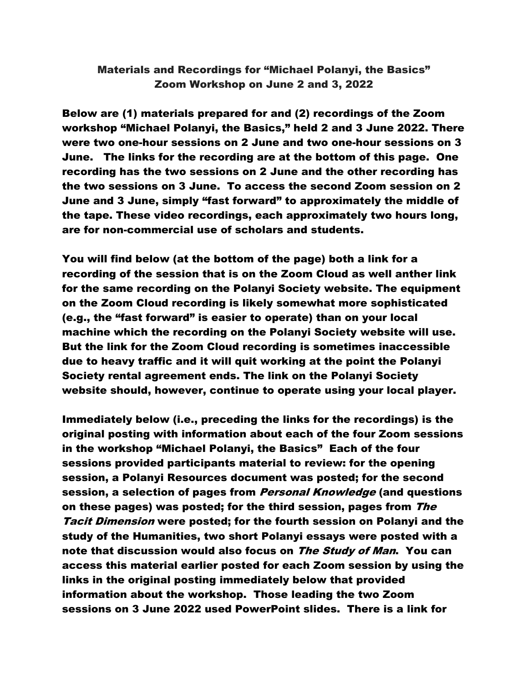## Materials and Recordings for "Michael Polanyi, the Basics" Zoom Workshop on June 2 and 3, 2022

Below are (1) materials prepared for and (2) recordings of the Zoom workshop "Michael Polanyi, the Basics," held 2 and 3 June 2022. There were two one-hour sessions on 2 June and two one-hour sessions on 3 June. The links for the recording are at the bottom of this page. One recording has the two sessions on 2 June and the other recording has the two sessions on 3 June. To access the second Zoom session on 2 June and 3 June, simply "fast forward" to approximately the middle of the tape. These video recordings, each approximately two hours long, are for non-commercial use of scholars and students.

You will find below (at the bottom of the page) both a link for a recording of the session that is on the Zoom Cloud as well anther link for the same recording on the Polanyi Society website. The equipment on the Zoom Cloud recording is likely somewhat more sophisticated (e.g., the "fast forward" is easier to operate) than on your local machine which the recording on the Polanyi Society website will use. But the link for the Zoom Cloud recording is sometimes inaccessible due to heavy traffic and it will quit working at the point the Polanyi Society rental agreement ends. The link on the Polanyi Society website should, however, continue to operate using your local player.

Immediately below (i.e., preceding the links for the recordings) is the original posting with information about each of the four Zoom sessions in the workshop "Michael Polanyi, the Basics" Each of the four sessions provided participants material to review: for the opening session, a Polanyi Resources document was posted; for the second session, a selection of pages from *Personal Knowledge* (and questions on these pages) was posted; for the third session, pages from The Tacit Dimension were posted; for the fourth session on Polanyi and the study of the Humanities, two short Polanyi essays were posted with a note that discussion would also focus on The Study of Man. You can access this material earlier posted for each Zoom session by using the links in the original posting immediately below that provided information about the workshop. Those leading the two Zoom sessions on 3 June 2022 used PowerPoint slides. There is a link for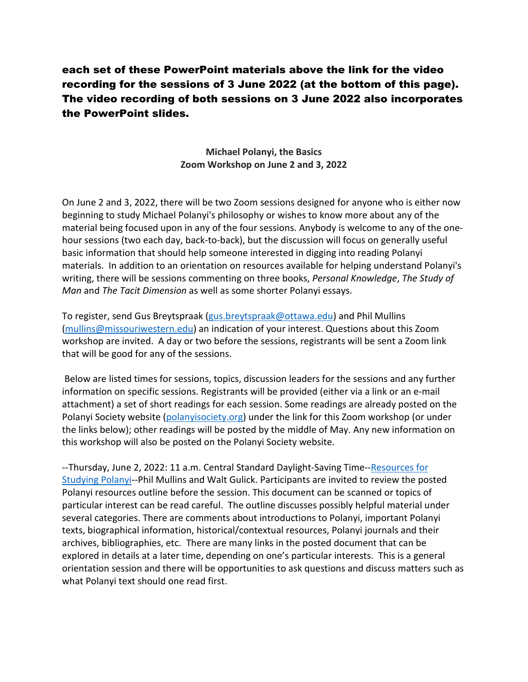## each set of these PowerPoint materials above the link for the video recording for the sessions of 3 June 2022 (at the bottom of this page). The video recording of both sessions on 3 June 2022 also incorporates the PowerPoint slides.

## **Michael Polanyi, the Basics Zoom Workshop on June 2 and 3, 2022**

On June 2 and 3, 2022, there will be two Zoom sessions designed for anyone who is either now beginning to study Michael Polanyi's philosophy or wishes to know more about any of the material being focused upon in any of the four sessions. Anybody is welcome to any of the onehour sessions (two each day, back-to-back), but the discussion will focus on generally useful basic information that should help someone interested in digging into reading Polanyi materials. In addition to an orientation on resources available for helping understand Polanyi's writing, there will be sessions commenting on three books, *Personal Knowledge*, *The Study of Man* and *The Tacit Dimension* as well as some shorter Polanyi essays.

To register, send Gus Breytspraak [\(gus.breytspraak@ottawa.edu\)](mailto:gus.breytspraak@ottawa.edu) and Phil Mullins [\(mullins@missouriwestern.edu\)](mailto:mullins@missouriwestern.edu) an indication of your interest. Questions about this Zoom workshop are invited. A day or two before the sessions, registrants will be sent a Zoom link that will be good for any of the sessions.

Below are listed times for sessions, topics, discussion leaders for the sessions and any further information on specific sessions. Registrants will be provided (either via a link or an e-mail attachment) a set of short readings for each session. Some readings are already posted on the Polanyi Society website [\(polanyisociety.org\)](http://polanyisociety.org/) under the link for this Zoom workshop (or under the links below); other readings will be posted by the middle of May. Any new information on this workshop will also be posted on the Polanyi Society website.

--Thursday, June 2, 2022: 11 a.m. Central Standard Daylight-Saving Time-[-Resources for](http://polanyisociety.org/2022Zoom/June2022Zoom/Polanyi-Resources-Michael-Polany--the-Basics-1May22-master.pdf)  [Studying Polanyi-](http://polanyisociety.org/2022Zoom/June2022Zoom/Polanyi-Resources-Michael-Polany--the-Basics-1May22-master.pdf)-Phil Mullins and Walt Gulick. Participants are invited to review the posted Polanyi resources outline before the session. This document can be scanned or topics of particular interest can be read careful. The outline discusses possibly helpful material under several categories. There are comments about introductions to Polanyi, important Polanyi texts, biographical information, historical/contextual resources, Polanyi journals and their archives, bibliographies, etc. There are many links in the posted document that can be explored in details at a later time, depending on one's particular interests. This is a general orientation session and there will be opportunities to ask questions and discuss matters such as what Polanyi text should one read first.